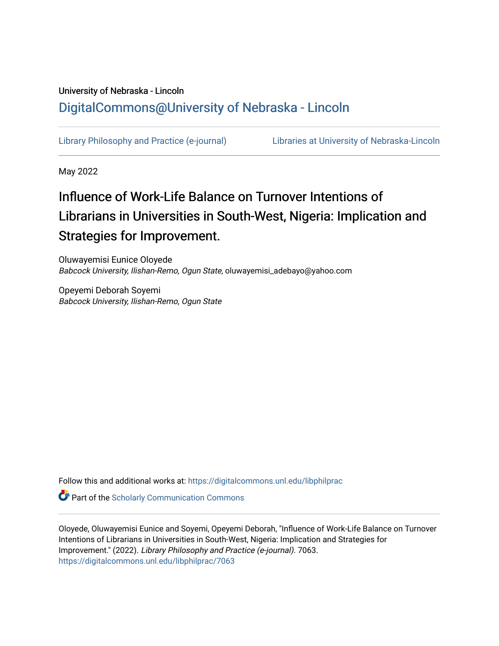## University of Nebraska - Lincoln [DigitalCommons@University of Nebraska - Lincoln](https://digitalcommons.unl.edu/)

[Library Philosophy and Practice \(e-journal\)](https://digitalcommons.unl.edu/libphilprac) [Libraries at University of Nebraska-Lincoln](https://digitalcommons.unl.edu/libraries) 

May 2022

# Influence of Work-Life Balance on Turnover Intentions of Librarians in Universities in South-West, Nigeria: Implication and Strategies for Improvement.

Oluwayemisi Eunice Oloyede Babcock University, Ilishan-Remo, Ogun State, oluwayemisi\_adebayo@yahoo.com

Opeyemi Deborah Soyemi Babcock University, Ilishan-Remo, Ogun State

Follow this and additional works at: [https://digitalcommons.unl.edu/libphilprac](https://digitalcommons.unl.edu/libphilprac?utm_source=digitalcommons.unl.edu%2Flibphilprac%2F7063&utm_medium=PDF&utm_campaign=PDFCoverPages) 

**Part of the Scholarly Communication Commons** 

Oloyede, Oluwayemisi Eunice and Soyemi, Opeyemi Deborah, "Influence of Work-Life Balance on Turnover Intentions of Librarians in Universities in South-West, Nigeria: Implication and Strategies for Improvement." (2022). Library Philosophy and Practice (e-journal). 7063. [https://digitalcommons.unl.edu/libphilprac/7063](https://digitalcommons.unl.edu/libphilprac/7063?utm_source=digitalcommons.unl.edu%2Flibphilprac%2F7063&utm_medium=PDF&utm_campaign=PDFCoverPages)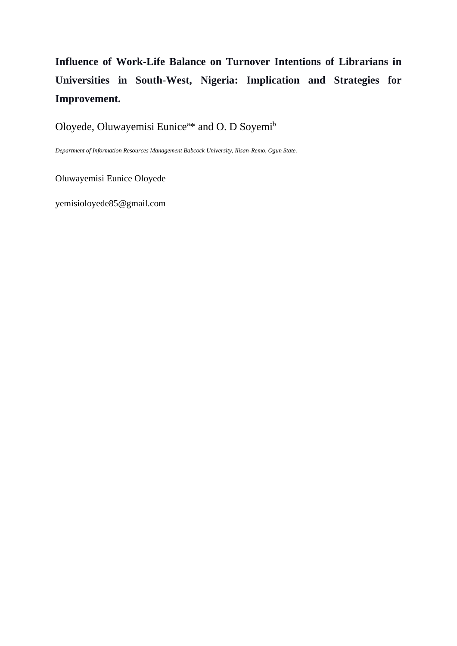## **Influence of Work-Life Balance on Turnover Intentions of Librarians in Universities in South-West, Nigeria: Implication and Strategies for Improvement.**

Oloyede, Oluwayemisi Eunice<sup>a</sup>\* and O. D Soyemi<sup>b</sup>

*Department of Information Resources Management Babcock University, Ilisan-Remo, Ogun State.*

Oluwayemisi Eunice Oloyede

yemisioloyede85@gmail.com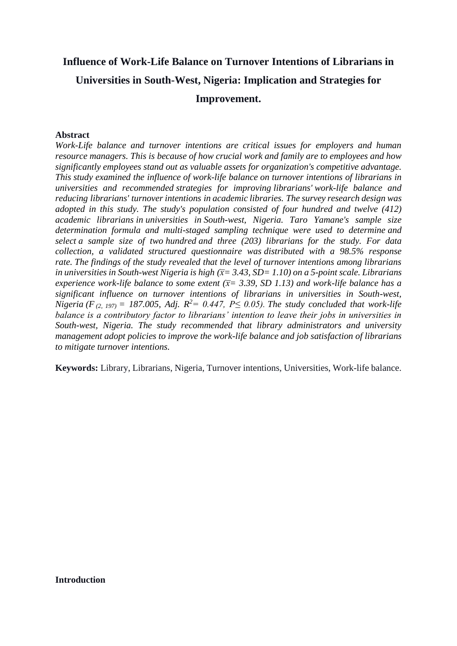## **Influence of Work-Life Balance on Turnover Intentions of Librarians in Universities in South-West, Nigeria: Implication and Strategies for Improvement.**

## **Abstract**

*Work-Life balance and turnover intentions are critical issues for employers and human resource managers. This is because of how crucial work and family are to employees and how significantly employees stand out as valuable assets for organization's competitive advantage. This study examined the influence of work-life balance on turnover intentions of librarians in universities and recommended strategies for improving librarians' work-life balance and reducing librarians' turnover intentions in academic libraries. The survey research design was adopted in this study. The study's population consisted of four hundred and twelve (412) academic librarians in universities in South-west, Nigeria. Taro Yamane's sample size determination formula and multi-staged sampling technique were used to determine and select a sample size of two hundred and three (203) librarians for the study. For data collection, a validated structured questionnaire was distributed with a 98.5% response rate. The findings of the study revealed that the level of turnover intentions among librarians in universities in South-west Nigeria is high (x̅= 3.43, SD= 1.10) on a 5-point scale. Librarians experience work-life balance to some extent (* $\bar{x}$  *= 3.39, SD 1.13) and work-life balance has a significant influence on turnover intentions of librarians in universities in South-west, Nigeria* (*F*  $_{(2, 197)}$  = 187.005, Adj.  $R^2 = 0.447$ ,  $P \leq 0.05$ ). The study concluded that work-life *balance is a contributory factor to librarians' intention to leave their jobs in universities in South-west, Nigeria. The study recommended that library administrators and university management adopt policies to improve the work-life balance and job satisfaction of librarians to mitigate turnover intentions.*

**Keywords:** Library, Librarians, Nigeria, Turnover intentions, Universities, Work-life balance.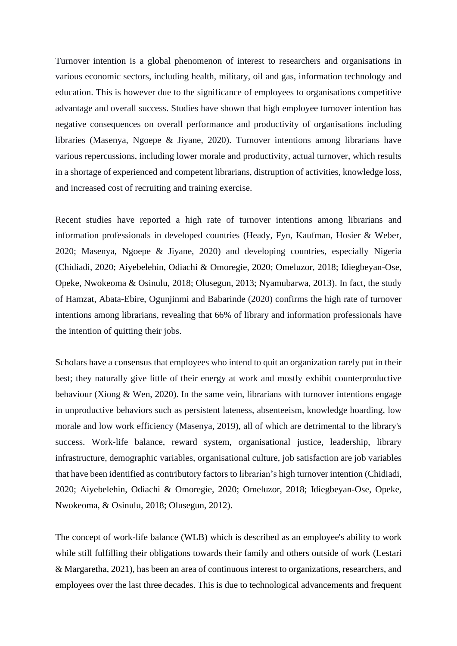Turnover intention is a global phenomenon of interest to researchers and organisations in various economic sectors, including health, military, oil and gas, information technology and education. This is however due to the significance of employees to organisations competitive advantage and overall success. Studies have shown that high employee turnover intention has negative consequences on overall performance and productivity of organisations including libraries (Masenya, Ngoepe & Jiyane, 2020). Turnover intentions among librarians have various repercussions, including lower morale and productivity, actual turnover, which results in a shortage of experienced and competent librarians, distruption of activities, knowledge loss, and increased cost of recruiting and training exercise.

Recent studies have reported a high rate of turnover intentions among librarians and information professionals in developed countries (Heady, Fyn, Kaufman, Hosier & Weber, 2020; Masenya, Ngoepe & Jiyane, 2020) and developing countries, especially Nigeria (Chidiadi, 2020; Aiyebelehin, Odiachi & Omoregie, 2020; Omeluzor, 2018; Idiegbeyan-Ose, Opeke, Nwokeoma & Osinulu, 2018; Olusegun, 2013; Nyamubarwa, 2013). In fact, the study of Hamzat, Abata-Ebire, Ogunjinmi and Babarinde (2020) confirms the high rate of turnover intentions among librarians, revealing that 66% of library and information professionals have the intention of quitting their jobs.

Scholars have a consensus that employees who intend to quit an organization rarely put in their best; they naturally give little of their energy at work and mostly exhibit counterproductive behaviour (Xiong & Wen, 2020). In the same vein, librarians with turnover intentions engage in unproductive behaviors such as persistent lateness, absenteeism, knowledge hoarding, low morale and low work efficiency (Masenya, 2019), all of which are detrimental to the library's success. Work-life balance, reward system, organisational justice, leadership, library infrastructure, demographic variables, organisational culture, job satisfaction are job variables that have been identified as contributory factors to librarian's high turnover intention (Chidiadi, 2020; Aiyebelehin, Odiachi & Omoregie, 2020; Omeluzor, 2018; Idiegbeyan-Ose, Opeke, Nwokeoma, & Osinulu, 2018; Olusegun, 2012).

The concept of work-life balance (WLB) which is described as an employee's ability to work while still fulfilling their obligations towards their family and others outside of work (Lestari & Margaretha, 2021), has been an area of continuous interest to organizations, researchers, and employees over the last three decades. This is due to technological advancements and frequent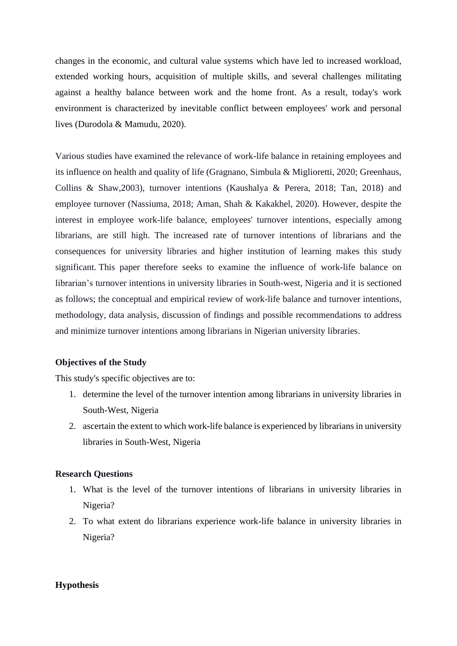changes in the economic, and cultural value systems which have led to increased workload, extended working hours, acquisition of multiple skills, and several challenges militating against a healthy balance between work and the home front. As a result, today's work environment is characterized by inevitable conflict between employees' work and personal lives (Durodola & Mamudu, 2020).

Various studies have examined the relevance of work-life balance in retaining employees and its influence on health and quality of life (Gragnano, Simbula & Miglioretti, 2020; Greenhaus, Collins & Shaw,2003), turnover intentions (Kaushalya & Perera, 2018; Tan, 2018) and employee turnover (Nassiuma, 2018; Aman, Shah & Kakakhel, 2020). However, despite the interest in employee work-life balance, employees' turnover intentions, especially among librarians, are still high. The increased rate of turnover intentions of librarians and the consequences for university libraries and higher institution of learning makes this study significant. This paper therefore seeks to examine the influence of work-life balance on librarian's turnover intentions in university libraries in South-west, Nigeria and it is sectioned as follows; the conceptual and empirical review of work-life balance and turnover intentions, methodology, data analysis, discussion of findings and possible recommendations to address and minimize turnover intentions among librarians in Nigerian university libraries.

## **Objectives of the Study**

This study's specific objectives are to:

- 1. determine the level of the turnover intention among librarians in university libraries in South-West, Nigeria
- 2. ascertain the extent to which work-life balance is experienced by librarians in university libraries in South-West, Nigeria

## **Research Questions**

- 1. What is the level of the turnover intentions of librarians in university libraries in Nigeria?
- 2. To what extent do librarians experience work-life balance in university libraries in Nigeria?

## **Hypothesis**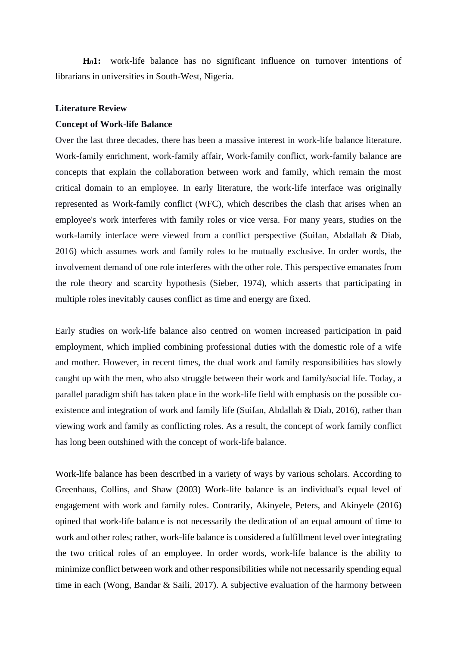**H01:** work-life balance has no significant influence on turnover intentions of librarians in universities in South-West, Nigeria.

## **Literature Review**

## **Concept of Work-life Balance**

Over the last three decades, there has been a massive interest in work-life balance literature. Work-family enrichment, work-family affair, Work-family conflict, work-family balance are concepts that explain the collaboration between work and family, which remain the most critical domain to an employee. In early literature, the work-life interface was originally represented as Work-family conflict (WFC), which describes the clash that arises when an employee's work interferes with family roles or vice versa. For many years, studies on the work-family interface were viewed from a conflict perspective (Suifan, Abdallah & Diab, 2016) which assumes work and family roles to be mutually exclusive. In order words, the involvement demand of one role interferes with the other role. This perspective emanates from the role theory and scarcity hypothesis (Sieber, 1974), which asserts that participating in multiple roles inevitably causes conflict as time and energy are fixed.

Early studies on work-life balance also centred on women increased participation in paid employment, which implied combining professional duties with the domestic role of a wife and mother. However, in recent times, the dual work and family responsibilities has slowly caught up with the men, who also struggle between their work and family/social life. Today, a parallel paradigm shift has taken place in the work-life field with emphasis on the possible coexistence and integration of work and family life (Suifan, Abdallah & Diab, 2016), rather than viewing work and family as conflicting roles. As a result, the concept of work family conflict has long been outshined with the concept of work-life balance.

Work-life balance has been described in a variety of ways by various scholars. According to Greenhaus, Collins, and Shaw (2003) Work-life balance is an individual's equal level of engagement with work and family roles. Contrarily, Akinyele, Peters, and Akinyele (2016) opined that work-life balance is not necessarily the dedication of an equal amount of time to work and other roles; rather, work-life balance is considered a fulfillment level over integrating the two critical roles of an employee. In order words, work-life balance is the ability to minimize conflict between work and other responsibilities while not necessarily spending equal time in each (Wong, Bandar & Saili, 2017). A subjective evaluation of the harmony between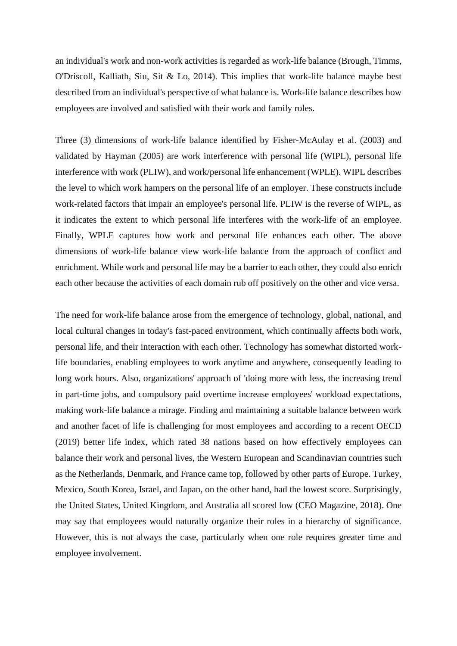an individual's work and non-work activities is regarded as work-life balance (Brough, Timms, O'Driscoll, Kalliath, Siu, Sit & Lo, 2014). This implies that work-life balance maybe best described from an individual's perspective of what balance is. Work-life balance describes how employees are involved and satisfied with their work and family roles.

Three (3) dimensions of work-life balance identified by Fisher-McAulay et al. (2003) and validated by Hayman (2005) are work interference with personal life (WIPL), personal life interference with work (PLIW), and work/personal life enhancement (WPLE). WIPL describes the level to which work hampers on the personal life of an employer. These constructs include work-related factors that impair an employee's personal life. PLIW is the reverse of WIPL, as it indicates the extent to which personal life interferes with the work-life of an employee. Finally, WPLE captures how work and personal life enhances each other. The above dimensions of work-life balance view work-life balance from the approach of conflict and enrichment. While work and personal life may be a barrier to each other, they could also enrich each other because the activities of each domain rub off positively on the other and vice versa.

The need for work-life balance arose from the emergence of technology, global, national, and local cultural changes in today's fast-paced environment, which continually affects both work, personal life, and their interaction with each other. Technology has somewhat distorted worklife boundaries, enabling employees to work anytime and anywhere, consequently leading to long work hours. Also, organizations' approach of 'doing more with less, the increasing trend in part-time jobs, and compulsory paid overtime increase employees' workload expectations, making work-life balance a mirage. Finding and maintaining a suitable balance between work and another facet of life is challenging for most employees and according to a recent OECD (2019) better life index, which rated 38 nations based on how effectively employees can balance their work and personal lives, the Western European and Scandinavian countries such as the Netherlands, Denmark, and France came top, followed by other parts of Europe. Turkey, Mexico, South Korea, Israel, and Japan, on the other hand, had the lowest score. Surprisingly, the United States, United Kingdom, and Australia all scored low (CEO Magazine, 2018). One may say that employees would naturally organize their roles in a hierarchy of significance. However, this is not always the case, particularly when one role requires greater time and employee involvement.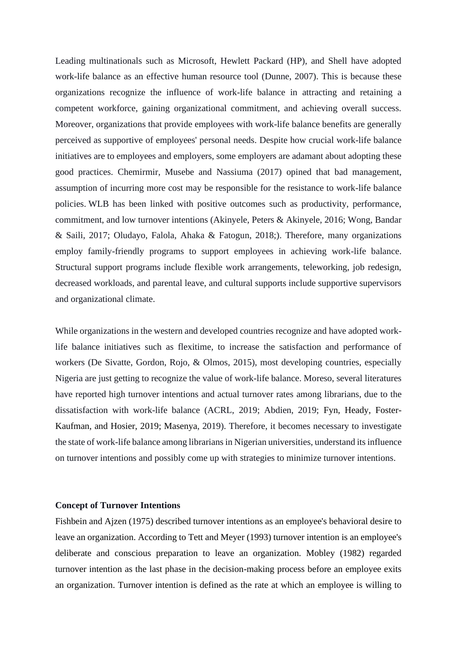Leading multinationals such as Microsoft, Hewlett Packard (HP), and Shell have adopted work-life balance as an effective human resource tool (Dunne, 2007). This is because these organizations recognize the influence of work-life balance in attracting and retaining a competent workforce, gaining organizational commitment, and achieving overall success. Moreover, organizations that provide employees with work-life balance benefits are generally perceived as supportive of employees' personal needs. Despite how crucial work-life balance initiatives are to employees and employers, some employers are adamant about adopting these good practices. Chemirmir, Musebe and Nassiuma (2017) opined that bad management, assumption of incurring more cost may be responsible for the resistance to work-life balance policies. WLB has been linked with positive outcomes such as productivity, performance, commitment, and low turnover intentions (Akinyele, Peters & Akinyele, 2016; Wong, Bandar & Saili, 2017; Oludayo, Falola, Ahaka & Fatogun, 2018;). Therefore, many organizations employ family-friendly programs to support employees in achieving work-life balance. Structural support programs include flexible work arrangements, teleworking, job redesign, decreased workloads, and parental leave, and cultural supports include supportive supervisors and organizational climate.

While organizations in the western and developed countries recognize and have adopted worklife balance initiatives such as flexitime, to increase the satisfaction and performance of workers (De Sivatte, Gordon, Rojo, & Olmos, 2015), most developing countries, especially Nigeria are just getting to recognize the value of work-life balance. Moreso, several literatures have reported high turnover intentions and actual turnover rates among librarians, due to the dissatisfaction with work-life balance (ACRL, 2019; Abdien, 2019; Fyn, Heady, Foster-Kaufman, and Hosier, 2019; Masenya, 2019). Therefore, it becomes necessary to investigate the state of work-life balance among librarians in Nigerian universities, understand its influence on turnover intentions and possibly come up with strategies to minimize turnover intentions.

#### **Concept of Turnover Intentions**

Fishbein and Ajzen (1975) described turnover intentions as an employee's behavioral desire to leave an organization. According to Tett and Meyer (1993) turnover intention is an employee's deliberate and conscious preparation to leave an organization. Mobley (1982) regarded turnover intention as the last phase in the decision-making process before an employee exits an organization. Turnover intention is defined as the rate at which an employee is willing to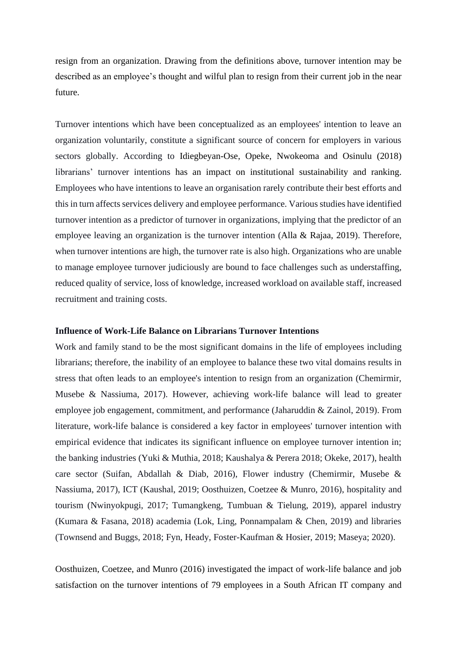resign from an organization. Drawing from the definitions above, turnover intention may be described as an employee's thought and wilful plan to resign from their current job in the near future.

Turnover intentions which have been conceptualized as an employees' intention to leave an organization voluntarily, constitute a significant source of concern for employers in various sectors globally. According to Idiegbeyan-Ose, Opeke, Nwokeoma and Osinulu (2018) librarians' turnover intentions has an impact on institutional sustainability and ranking. Employees who have intentions to leave an organisation rarely contribute their best efforts and thisin turn affects services delivery and employee performance. Various studies have identified turnover intention as a predictor of turnover in organizations, implying that the predictor of an employee leaving an organization is the turnover intention (Alla & Rajaa, 2019). Therefore, when turnover intentions are high, the turnover rate is also high. Organizations who are unable to manage employee turnover judiciously are bound to face challenges such as understaffing, reduced quality of service, loss of knowledge, increased workload on available staff, increased recruitment and training costs.

## **Influence of Work-Life Balance on Librarians Turnover Intentions**

Work and family stand to be the most significant domains in the life of employees including librarians; therefore, the inability of an employee to balance these two vital domains results in stress that often leads to an employee's intention to resign from an organization (Chemirmir, Musebe & Nassiuma, 2017). However, achieving work-life balance will lead to greater employee job engagement, commitment, and performance (Jaharuddin & Zainol, 2019). From literature, work-life balance is considered a key factor in employees' turnover intention with empirical evidence that indicates its significant influence on employee turnover intention in; the banking industries (Yuki & Muthia, 2018; Kaushalya & Perera 2018; Okeke, 2017), health care sector (Suifan, Abdallah & Diab, 2016), Flower industry (Chemirmir, Musebe & Nassiuma, 2017), ICT (Kaushal, 2019; Oosthuizen, Coetzee & Munro, 2016), hospitality and tourism (Nwinyokpugi, 2017; Tumangkeng, Tumbuan & Tielung, 2019), apparel industry (Kumara & Fasana, 2018) academia (Lok, Ling, Ponnampalam & Chen, 2019) and libraries (Townsend and Buggs, 2018; Fyn, Heady, Foster-Kaufman & Hosier, 2019; Maseya; 2020).

Oosthuizen, Coetzee, and Munro (2016) investigated the impact of work-life balance and job satisfaction on the turnover intentions of 79 employees in a South African IT company and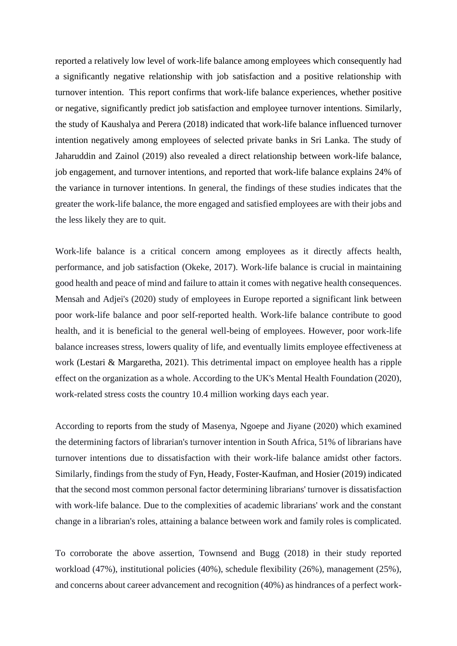reported a relatively low level of work-life balance among employees which consequently had a significantly negative relationship with job satisfaction and a positive relationship with turnover intention. This report confirms that work-life balance experiences, whether positive or negative, significantly predict job satisfaction and employee turnover intentions. Similarly, the study of Kaushalya and Perera (2018) indicated that work-life balance influenced turnover intention negatively among employees of selected private banks in Sri Lanka. The study of Jaharuddin and Zainol (2019) also revealed a direct relationship between work-life balance, job engagement, and turnover intentions, and reported that work-life balance explains 24% of the variance in turnover intentions. In general, the findings of these studies indicates that the greater the work-life balance, the more engaged and satisfied employees are with their jobs and the less likely they are to quit.

Work-life balance is a critical concern among employees as it directly affects health, performance, and job satisfaction (Okeke, 2017). Work-life balance is crucial in maintaining good health and peace of mind and failure to attain it comes with negative health consequences. Mensah and Adjei's (2020) study of employees in Europe reported a significant link between poor work-life balance and poor self-reported health. Work-life balance contribute to good health, and it is beneficial to the general well-being of employees. However, poor work-life balance increases stress, lowers quality of life, and eventually limits employee effectiveness at work (Lestari & Margaretha, 2021). This detrimental impact on employee health has a ripple effect on the organization as a whole. According to the UK's Mental Health Foundation (2020), work-related stress costs the country 10.4 million working days each year.

According to reports from the study of Masenya, Ngoepe and Jiyane (2020) which examined the determining factors of librarian's turnover intention in South Africa, 51% of librarians have turnover intentions due to dissatisfaction with their work-life balance amidst other factors. Similarly, findings from the study of Fyn, Heady, Foster-Kaufman, and Hosier (2019) indicated that the second most common personal factor determining librarians' turnover is dissatisfaction with work-life balance. Due to the complexities of academic librarians' work and the constant change in a librarian's roles, attaining a balance between work and family roles is complicated.

To corroborate the above assertion, Townsend and Bugg (2018) in their study reported workload (47%), institutional policies (40%), schedule flexibility (26%), management (25%), and concerns about career advancement and recognition (40%) as hindrances of a perfect work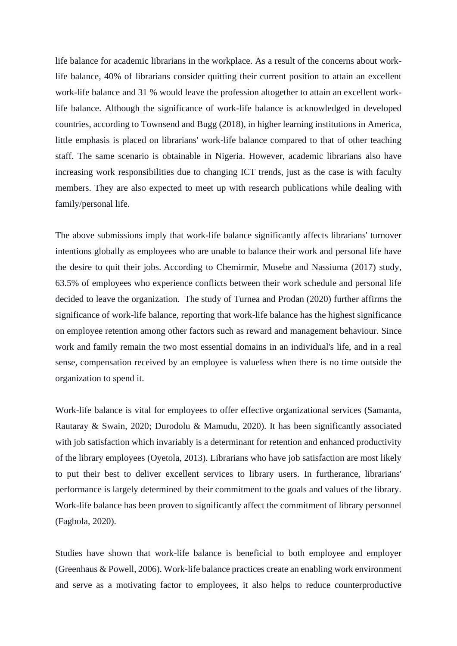life balance for academic librarians in the workplace. As a result of the concerns about worklife balance, 40% of librarians consider quitting their current position to attain an excellent work-life balance and 31 % would leave the profession altogether to attain an excellent worklife balance. Although the significance of work-life balance is acknowledged in developed countries, according to Townsend and Bugg (2018), in higher learning institutions in America, little emphasis is placed on librarians' work-life balance compared to that of other teaching staff. The same scenario is obtainable in Nigeria. However, academic librarians also have increasing work responsibilities due to changing ICT trends, just as the case is with faculty members. They are also expected to meet up with research publications while dealing with family/personal life.

The above submissions imply that work-life balance significantly affects librarians' turnover intentions globally as employees who are unable to balance their work and personal life have the desire to quit their jobs. According to Chemirmir, Musebe and Nassiuma (2017) study, 63.5% of employees who experience conflicts between their work schedule and personal life decided to leave the organization. The study of Turnea and Prodan (2020) further affirms the significance of work-life balance, reporting that work-life balance has the highest significance on employee retention among other factors such as reward and management behaviour. Since work and family remain the two most essential domains in an individual's life, and in a real sense, compensation received by an employee is valueless when there is no time outside the organization to spend it.

Work-life balance is vital for employees to offer effective organizational services (Samanta, Rautaray & Swain, 2020; Durodolu & Mamudu, 2020). It has been significantly associated with job satisfaction which invariably is a determinant for retention and enhanced productivity of the library employees (Oyetola, 2013). Librarians who have job satisfaction are most likely to put their best to deliver excellent services to library users. In furtherance, librarians' performance is largely determined by their commitment to the goals and values of the library. Work-life balance has been proven to significantly affect the commitment of library personnel (Fagbola, 2020).

Studies have shown that work-life balance is beneficial to both employee and employer (Greenhaus & Powell, 2006). Work-life balance practices create an enabling work environment and serve as a motivating factor to employees, it also helps to reduce counterproductive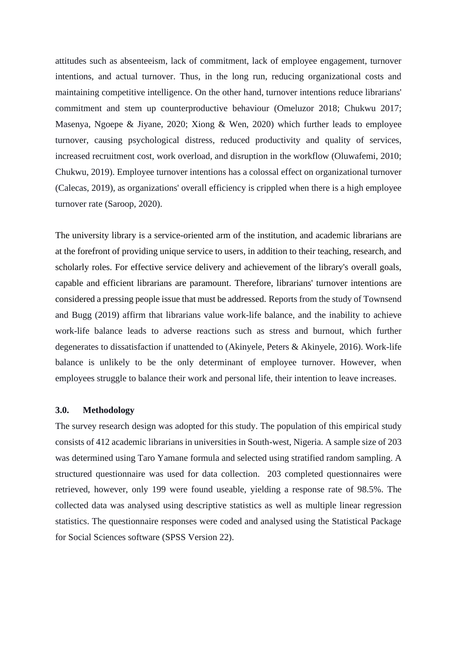attitudes such as absenteeism, lack of commitment, lack of employee engagement, turnover intentions, and actual turnover. Thus, in the long run, reducing organizational costs and maintaining competitive intelligence. On the other hand, turnover intentions reduce librarians' commitment and stem up counterproductive behaviour (Omeluzor 2018; Chukwu 2017; Masenya, Ngoepe & Jiyane, 2020; Xiong & Wen, 2020) which further leads to employee turnover, causing psychological distress, reduced productivity and quality of services, increased recruitment cost, work overload, and disruption in the workflow (Oluwafemi, 2010; Chukwu, 2019). Employee turnover intentions has a colossal effect on organizational turnover (Calecas, 2019), as organizations' overall efficiency is crippled when there is a high employee turnover rate (Saroop, 2020).

The university library is a service-oriented arm of the institution, and academic librarians are at the forefront of providing unique service to users, in addition to their teaching, research, and scholarly roles. For effective service delivery and achievement of the library's overall goals, capable and efficient librarians are paramount. Therefore, librarians' turnover intentions are considered a pressing people issue that must be addressed. Reports from the study of Townsend and Bugg (2019) affirm that librarians value work-life balance, and the inability to achieve work-life balance leads to adverse reactions such as stress and burnout, which further degenerates to dissatisfaction if unattended to (Akinyele, Peters & Akinyele, 2016). Work-life balance is unlikely to be the only determinant of employee turnover. However, when employees struggle to balance their work and personal life, their intention to leave increases.

## **3.0. Methodology**

The survey research design was adopted for this study. The population of this empirical study consists of 412 academic librarians in universities in South-west, Nigeria. A sample size of 203 was determined using Taro Yamane formula and selected using stratified random sampling. A structured questionnaire was used for data collection. 203 completed questionnaires were retrieved, however, only 199 were found useable, yielding a response rate of 98.5%. The collected data was analysed using descriptive statistics as well as multiple linear regression statistics. The questionnaire responses were coded and analysed using the Statistical Package for Social Sciences software (SPSS Version 22).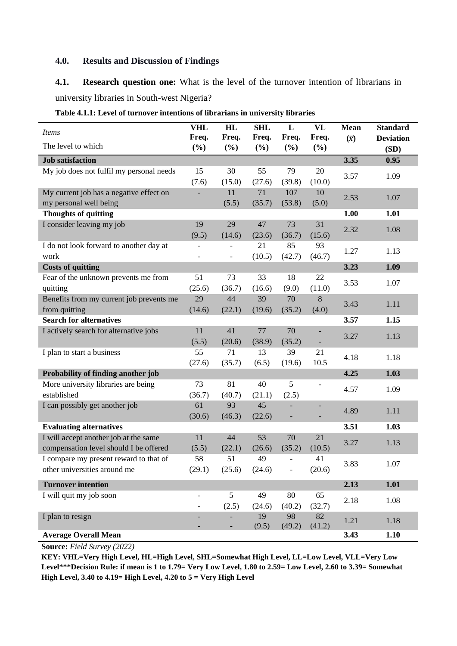## **4.0. Results and Discussion of Findings**

**4.1. Research question one:** What is the level of the turnover intention of librarians in university libraries in South-west Nigeria?

| <b>Items</b>                             | <b>VHL</b><br>Freq.      | HL<br>Freq.                  | <b>SHL</b><br>Freq. | $\mathbf L$<br>Freq.     | VL<br>Freq. | <b>Mean</b> | <b>Standard</b><br><b>Deviation</b> |
|------------------------------------------|--------------------------|------------------------------|---------------------|--------------------------|-------------|-------------|-------------------------------------|
| The level to which                       | (%)                      | (%)                          | (%)                 | (%)                      | (%)         | $(\bar{x})$ | (SD)                                |
| <b>Job satisfaction</b>                  |                          |                              |                     |                          |             | 3.35        | 0.95                                |
| My job does not fulfil my personal needs | 15                       | 30                           | 55                  | 79                       | 20          |             |                                     |
|                                          | (7.6)                    | (15.0)                       | (27.6)              | (39.8)                   | (10.0)      | 3.57        | 1.09                                |
| My current job has a negative effect on  |                          | 11                           | 71                  | 107                      | 10          |             |                                     |
| my personal well being                   |                          | (5.5)                        | (35.7)              | (53.8)                   | (5.0)       | 2.53        | 1.07                                |
| <b>Thoughts of quitting</b>              |                          |                              |                     |                          |             | 1.00        | 1.01                                |
| I consider leaving my job                | 19                       | 29                           | 47                  | 73                       | 31          |             |                                     |
|                                          | (9.5)                    | (14.6)                       | (23.6)              | (36.7)                   | (15.6)      | 2.32        | 1.08                                |
| I do not look forward to another day at  |                          |                              | 21                  | 85                       | 93          |             |                                     |
| work                                     | $\overline{a}$           | $\overline{\phantom{a}}$     | (10.5)              | (42.7)                   | (46.7)      | 1.27        | 1.13                                |
| <b>Costs of quitting</b>                 |                          |                              |                     |                          |             | 3.23        | 1.09                                |
| Fear of the unknown prevents me from     | 51                       | 73                           | 33                  | 18                       | 22          | 3.53        | 1.07                                |
| quitting                                 | (25.6)                   | (36.7)                       | (16.6)              | (9.0)                    | (11.0)      |             |                                     |
| Benefits from my current job prevents me | 29                       | 44                           | 39                  | 70                       | 8           | 3.43        | 1.11                                |
| from quitting                            | (14.6)                   | (22.1)                       | (19.6)              | (35.2)                   | (4.0)       |             |                                     |
| <b>Search for alternatives</b>           |                          |                              |                     |                          |             | 3.57        | 1.15                                |
| I actively search for alternative jobs   | 11                       | 41                           | $77\,$              | 70                       |             | 3.27        | 1.13                                |
|                                          | (5.5)                    | (20.6)                       | (38.9)              | (35.2)                   |             |             |                                     |
| I plan to start a business               | 55                       | 71                           | 13                  | 39                       | 21          | 4.18        | 1.18                                |
|                                          | (27.6)                   | (35.7)                       | (6.5)               | (19.6)                   | 10.5        |             |                                     |
| Probability of finding another job       |                          |                              |                     |                          |             | 4.25        | 1.03                                |
| More university libraries are being      | 73                       | 81                           | 40                  | 5                        |             | 4.57        | 1.09                                |
| established                              | (36.7)                   | (40.7)                       | (21.1)              | (2.5)                    |             |             |                                     |
| I can possibly get another job           | 61                       | 93                           | 45                  |                          |             | 4.89        | 1.11                                |
|                                          | (30.6)                   | (46.3)                       | (22.6)              | ÷                        |             |             |                                     |
| <b>Evaluating alternatives</b>           |                          |                              |                     |                          |             | 3.51        | 1.03                                |
| I will accept another job at the same    | 11                       | 44                           | 53                  | 70                       | 21          | 3.27        | 1.13                                |
| compensation level should I be offered   | (5.5)                    | (22.1)                       | (26.6)              | (35.2)                   | (10.5)      |             |                                     |
| I compare my present reward to that of   | 58                       | 51                           | 49                  | $\overline{\phantom{0}}$ | 41          | 3.83        | 1.07                                |
| other universities around me             | (29.1)                   | (25.6)                       | (24.6)              | ÷                        | (20.6)      |             |                                     |
| <b>Turnover intention</b>                |                          |                              |                     |                          |             | 2.13        | 1.01                                |
| I will quit my job soon                  | $\overline{\phantom{0}}$ | 5                            | 49                  | 80                       | 65          |             |                                     |
|                                          | $\overline{\phantom{0}}$ | (2.5)                        | (24.6)              | (40.2)                   | (32.7)      | 2.18        | 1.08                                |
| I plan to resign                         |                          |                              | 19                  | 98                       | 82          | 1.21        | 1.18                                |
| <b>Average Overall Mean</b>              |                          | $\qquad \qquad \blacksquare$ | (9.5)               | (49.2)                   | (41.2)      | 3.43        | 1.10                                |
|                                          |                          |                              |                     |                          |             |             |                                     |

|  |  |  | Table 4.1.1: Level of turnover intentions of librarians in university libraries |  |
|--|--|--|---------------------------------------------------------------------------------|--|
|  |  |  |                                                                                 |  |

**Source:** *Field Survey (2022)*

**KEY: VHL=Very High Level, HL=High Level, SHL=Somewhat High Level, LL=Low Level, VLL=Very Low Level\*\*\*Decision Rule: if mean is 1 to 1.79= Very Low Level, 1.80 to 2.59= Low Level, 2.60 to 3.39= Somewhat High Level, 3.40 to 4.19= High Level, 4.20 to 5 = Very High Level**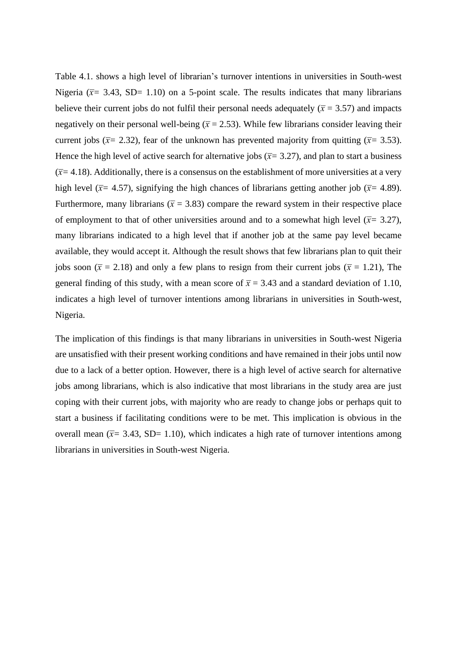Table 4.1. shows a high level of librarian's turnover intentions in universities in South-west Nigeria ( $\bar{x}$ = 3.43, SD= 1.10) on a 5-point scale. The results indicates that many librarians believe their current jobs do not fulfil their personal needs adequately  $(\bar{x} = 3.57)$  and impacts negatively on their personal well-being  $(\bar{x} = 2.53)$ . While few librarians consider leaving their current jobs ( $\bar{x}$ = 2.32), fear of the unknown has prevented majority from quitting ( $\bar{x}$ = 3.53). Hence the high level of active search for alternative jobs ( $\bar{x}$ = 3.27), and plan to start a business  $(\bar{x}=4.18)$ . Additionally, there is a consensus on the establishment of more universities at a very high level ( $\bar{x}$ = 4.57), signifying the high chances of librarians getting another job ( $\bar{x}$ = 4.89). Furthermore, many librarians ( $\bar{x}$  = 3.83) compare the reward system in their respective place of employment to that of other universities around and to a somewhat high level ( $\bar{x}$ = 3.27), many librarians indicated to a high level that if another job at the same pay level became available, they would accept it. Although the result shows that few librarians plan to quit their jobs soon ( $\bar{x}$  = 2.18) and only a few plans to resign from their current jobs ( $\bar{x}$  = 1.21), The general finding of this study, with a mean score of  $\bar{x}$  = 3.43 and a standard deviation of 1.10, indicates a high level of turnover intentions among librarians in universities in South-west, Nigeria.

The implication of this findings is that many librarians in universities in South-west Nigeria are unsatisfied with their present working conditions and have remained in their jobs until now due to a lack of a better option. However, there is a high level of active search for alternative jobs among librarians, which is also indicative that most librarians in the study area are just coping with their current jobs, with majority who are ready to change jobs or perhaps quit to start a business if facilitating conditions were to be met. This implication is obvious in the overall mean  $(\bar{x} = 3.43, SD = 1.10)$ , which indicates a high rate of turnover intentions among librarians in universities in South-west Nigeria.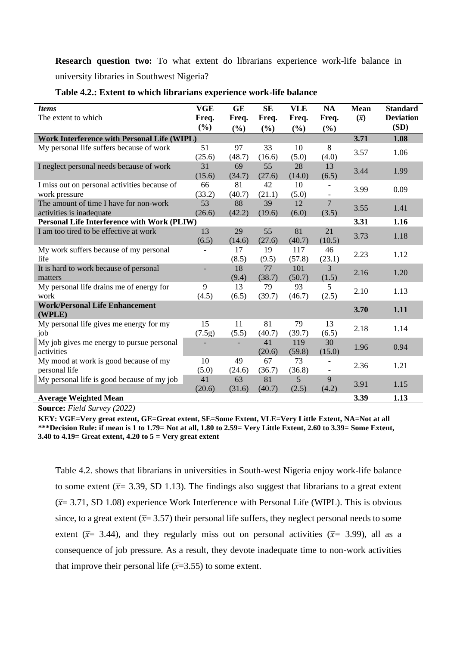**Research question two:** To what extent do librarians experience work-life balance in university libraries in Southwest Nigeria?

| <b>Items</b>                                       | <b>VGE</b>      | <b>GE</b>    | <b>SE</b>       | <b>VLE</b>   | <b>NA</b>      | <b>Mean</b> | <b>Standard</b>          |
|----------------------------------------------------|-----------------|--------------|-----------------|--------------|----------------|-------------|--------------------------|
| The extent to which                                | Freq.<br>$(\%)$ | Freq.<br>(%) | Freq.<br>$(\%)$ | Freq.<br>(%) | Freq.<br>(%)   | $(\bar{x})$ | <b>Deviation</b><br>(SD) |
| Work Interference with Personal Life (WIPL)        |                 |              |                 |              |                | 3.71        | 1.08                     |
| My personal life suffers because of work           | 51              | 97           | 33              | 10           | 8              |             |                          |
|                                                    | (25.6)          | (48.7)       | (16.6)          | (5.0)        | (4.0)          | 3.57        | 1.06                     |
| I neglect personal needs because of work           | 31              | 69           | 55              | 28           | 13             | 3.44        | 1.99                     |
|                                                    | (15.6)          | (34.7)       | (27.6)          | (14.0)       | (6.5)          |             |                          |
| I miss out on personal activities because of       | 66              | 81           | 42              | 10           |                | 3.99        | 0.09                     |
| work pressure                                      | (33.2)          | (40.7)       | (21.1)          | (5.0)        |                |             |                          |
| The amount of time I have for non-work             | 53              | 88           | 39              | 12           | $\overline{7}$ | 3.55        | 1.41                     |
| activities is inadequate                           | (26.6)          | (42.2)       | (19.6)          | (6.0)        | (3.5)          |             |                          |
| <b>Personal Life Interference with Work (PLIW)</b> |                 |              |                 |              |                | 3.31        | 1.16                     |
| I am too tired to be effective at work             | 13              | 29           | 55              | 81           | 21             | 3.73        | 1.18                     |
|                                                    | (6.5)           | (14.6)       | (27.6)          | (40.7)       | (10.5)         |             |                          |
| My work suffers because of my personal             |                 | 17           | 19              | 117          | 46             | 2.23        | 1.12                     |
| life                                               |                 | (8.5)        | (9.5)           | (57.8)       | (23.1)         |             |                          |
| It is hard to work because of personal             |                 | 18           | 77              | 101          | 3              | 2.16        | 1.20                     |
| matters                                            |                 | (9.4)        | (38.7)          | (50.7)       | (1.5)          |             |                          |
| My personal life drains me of energy for<br>work   | 9               | 13           | 79              | 93           | 5              | 2.10        | 1.13                     |
| <b>Work/Personal Life Enhancement</b>              | (4.5)           | (6.5)        | (39.7)          | (46.7)       | (2.5)          |             |                          |
| (WPLE)                                             |                 |              |                 |              |                | 3.70        | 1.11                     |
| My personal life gives me energy for my            | 15              | 11           | 81              | 79           | 13             | 2.18        | 1.14                     |
| job                                                | (7.5g)          | (5.5)        | (40.7)          | (39.7)       | (6.5)          |             |                          |
| My job gives me energy to pursue personal          |                 |              | 41              | 119          | 30             | 1.96        | 0.94                     |
| activities                                         |                 |              | (20.6)          | (59.8)       | (15.0)         |             |                          |
| My mood at work is good because of my              | 10              | 49           | 67              | 73           |                | 2.36        | 1.21                     |
| personal life                                      | (5.0)           | (24.6)       | (36.7)          | (36.8)       |                |             |                          |
| My personal life is good because of my job         | 41              | 63           | 81              | 5            | 9              | 3.91        | 1.15                     |
|                                                    | (20.6)          | (31.6)       | (40.7)          | (2.5)        | (4.2)          |             |                          |
| <b>Average Weighted Mean</b>                       |                 |              |                 |              |                | 3.39        | 1.13                     |

## **Table 4.2.: Extent to which librarians experience work-life balance**

**Source:** *Field Survey (2022)*

**KEY: VGE=Very great extent, GE=Great extent, SE=Some Extent, VLE=Very Little Extent, NA=Not at all \*\*\*Decision Rule: if mean is 1 to 1.79= Not at all, 1.80 to 2.59= Very Little Extent, 2.60 to 3.39= Some Extent, 3.40 to 4.19= Great extent, 4.20 to 5 = Very great extent**

Table 4.2. shows that librarians in universities in South-west Nigeria enjoy work-life balance to some extent ( $\bar{x}$ = 3.39, SD 1.13). The findings also suggest that librarians to a great extent (*x̅*= 3.71, SD 1.08) experience Work Interference with Personal Life (WIPL). This is obvious since, to a great extent  $(\bar{x}=3.57)$  their personal life suffers, they neglect personal needs to some extent ( $\bar{x}$ = 3.44), and they regularly miss out on personal activities ( $\bar{x}$ = 3.99), all as a consequence of job pressure. As a result, they devote inadequate time to non-work activities that improve their personal life  $(\overline{x}=3.55)$  to some extent.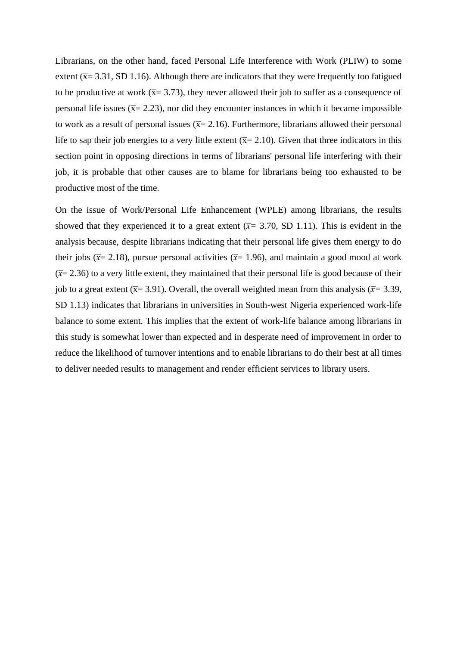Librarians, on the other hand, faced Personal Life Interference with Work (PLIW) to some extent ( $\bar{x}$ = 3.31, SD 1.16). Although there are indicators that they were frequently too fatigued to be productive at work ( $\bar{x}$ = 3.73), they never allowed their job to suffer as a consequence of personal life issues ( $\bar{x}$ = 2.23), nor did they encounter instances in which it became impossible to work as a result of personal issues  $(\overline{x} = 2.16)$ . Furthermore, librarians allowed their personal life to sap their job energies to a very little extent  $(\bar{x}=2.10)$ . Given that three indicators in this section point in opposing directions in terms of librarians' personal life interfering with their job, it is probable that other causes are to blame for librarians being too exhausted to be productive most of the time.

On the issue of Work/Personal Life Enhancement (WPLE) among librarians, the results showed that they experienced it to a great extent  $(\bar{x}= 3.70, SD 1.11)$ . This is evident in the analysis because, despite librarians indicating that their personal life gives them energy to do their jobs ( $\bar{x}$ = 2.18), pursue personal activities ( $\bar{x}$ = 1.96), and maintain a good mood at work  $(\bar{x}=2.36)$  to a very little extent, they maintained that their personal life is good because of their job to a great extent ( $\bar{x}$ = 3.91). Overall, the overall weighted mean from this analysis ( $\bar{x}$ = 3.39, SD 1.13) indicates that librarians in universities in South-west Nigeria experienced work-life balance to some extent. This implies that the extent of work-life balance among librarians in this study is somewhat lower than expected and in desperate need of improvement in order to reduce the likelihood of turnover intentions and to enable librarians to do their best at all times to deliver needed results to management and render efficient services to library users.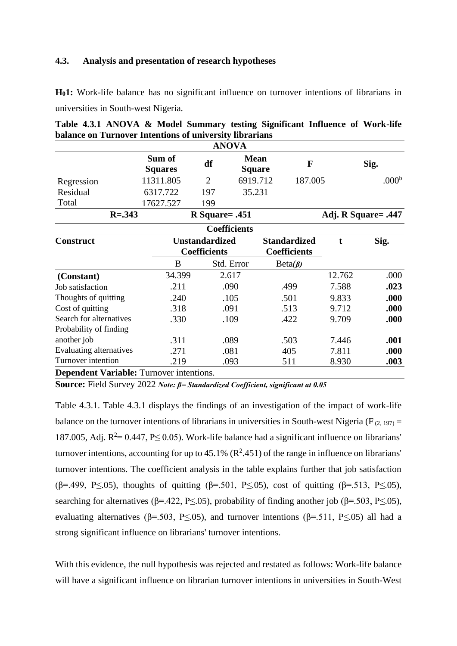## **4.3. Analysis and presentation of research hypotheses**

**H01:** Work-life balance has no significant influence on turnover intentions of librarians in universities in South-west Nigeria.

|                                                 |                          |                                              | <b>ANOVA</b>        |                                   |                                            |        |                     |
|-------------------------------------------------|--------------------------|----------------------------------------------|---------------------|-----------------------------------|--------------------------------------------|--------|---------------------|
|                                                 | Sum of<br><b>Squares</b> | df                                           |                     | <b>Mean</b><br>F<br><b>Square</b> |                                            |        | Sig.                |
| Regression                                      | 11311.805                | $\overline{2}$                               |                     | 6919.712                          | 187.005                                    |        | .000 <sup>b</sup>   |
| Residual                                        | 6317.722                 | 197                                          |                     | 35.231                            |                                            |        |                     |
| Total                                           | 17627.527                | 199                                          |                     |                                   |                                            |        |                     |
| $R = .343$                                      |                          |                                              | $R$ Square= .451    |                                   |                                            |        | Adj. R Square= .447 |
|                                                 |                          |                                              | <b>Coefficients</b> |                                   |                                            |        |                     |
| <b>Construct</b>                                |                          | <b>Unstandardized</b><br><b>Coefficients</b> |                     |                                   | <b>Standardized</b><br><b>Coefficients</b> |        | Sig.                |
|                                                 | B                        |                                              | Std. Error          |                                   | $Beta(\beta)$                              |        |                     |
| (Constant)                                      | 34.399                   |                                              | 2.617               |                                   |                                            | 12.762 | .000                |
| Job satisfaction                                | .211                     |                                              | .090                |                                   | .499                                       | 7.588  | .023                |
| Thoughts of quitting                            | .240                     |                                              | .105                |                                   | .501                                       | 9.833  | .000                |
| Cost of quitting                                | .318                     |                                              | .091                |                                   | .513                                       | 9.712  | .000                |
| Search for alternatives                         | .330                     |                                              | .109                |                                   | .422                                       | 9.709  | .000                |
| Probability of finding                          |                          |                                              |                     |                                   |                                            |        |                     |
| another job                                     | .311                     |                                              | .089                |                                   | .503                                       | 7.446  | .001                |
| Evaluating alternatives                         | .271                     |                                              | .081                |                                   | 405                                        | 7.811  | .000                |
| Turnover intention                              | .219                     |                                              | .093                |                                   | 511                                        | 8.930  | .003                |
| <b>Dependent Variable:</b> Turnover intentions. |                          |                                              |                     |                                   |                                            |        |                     |

**Table 4.3.1 ANOVA & Model Summary testing Significant Influence of Work-life balance on Turnover Intentions of university librarians**

**Source:** Field Survey 2022 *Note: β= Standardized Coefficient, significant at 0.05*

Table 4.3.1. Table 4.3.1 displays the findings of an investigation of the impact of work-life balance on the turnover intentions of librarians in universities in South-west Nigeria (F<sub>(2, 197)</sub> = 187.005, Adj.  $R^2 = 0.447$ , P $\leq$  0.05). Work-life balance had a significant influence on librarians' turnover intentions, accounting for up to 45.1% ( $\mathbb{R}^2$ -451) of the range in influence on librarians' turnover intentions. The coefficient analysis in the table explains further that job satisfaction (β=.499, P $\leq$ .05), thoughts of quitting (β=.501, P $\leq$ .05), cost of quitting (β=.513, P $\leq$ .05), searching for alternatives ( $\beta$ =.422, P<.05), probability of finding another job ( $\beta$ =.503, P<.05), evaluating alternatives ( $\beta$ =.503, P $\leq$ .05), and turnover intentions ( $\beta$ =.511, P $\leq$ .05) all had a strong significant influence on librarians' turnover intentions.

With this evidence, the null hypothesis was rejected and restated as follows: Work-life balance will have a significant influence on librarian turnover intentions in universities in South-West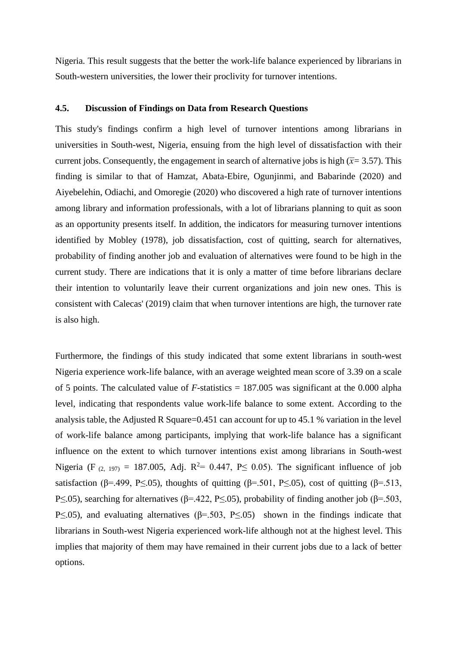Nigeria. This result suggests that the better the work-life balance experienced by librarians in South-western universities, the lower their proclivity for turnover intentions.

## **4.5. Discussion of Findings on Data from Research Questions**

This study's findings confirm a high level of turnover intentions among librarians in universities in South-west, Nigeria, ensuing from the high level of dissatisfaction with their current jobs. Consequently, the engagement in search of alternative jobs is high ( $\bar{x}$ = 3.57). This finding is similar to that of Hamzat, Abata-Ebire, Ogunjinmi, and Babarinde (2020) and Aiyebelehin, Odiachi, and Omoregie (2020) who discovered a high rate of turnover intentions among library and information professionals, with a lot of librarians planning to quit as soon as an opportunity presents itself. In addition, the indicators for measuring turnover intentions identified by Mobley (1978), job dissatisfaction, cost of quitting, search for alternatives, probability of finding another job and evaluation of alternatives were found to be high in the current study. There are indications that it is only a matter of time before librarians declare their intention to voluntarily leave their current organizations and join new ones. This is consistent with Calecas' (2019) claim that when turnover intentions are high, the turnover rate is also high.

Furthermore, the findings of this study indicated that some extent librarians in south-west Nigeria experience work-life balance, with an average weighted mean score of 3.39 on a scale of 5 points. The calculated value of *F-*statistics = 187.005 was significant at the 0.000 alpha level, indicating that respondents value work-life balance to some extent. According to the analysis table, the Adjusted R Square=0.451 can account for up to 45.1 % variation in the level of work-life balance among participants, implying that work-life balance has a significant influence on the extent to which turnover intentions exist among librarians in South-west Nigeria (F  $(2, 197) = 187.005$ , Adj. R<sup>2</sup>= 0.447, P \le 0.05). The significant influence of job satisfaction (β=.499, P<.05), thoughts of quitting (β=.501, P<.05), cost of quitting (β=.513, P $\leq$ .05), searching for alternatives (β=.422, P $\leq$ .05), probability of finding another job (β=.503, P $\leq$ .05), and evaluating alternatives ( $\beta$ =.503, P $\leq$ .05) shown in the findings indicate that librarians in South-west Nigeria experienced work-life although not at the highest level. This implies that majority of them may have remained in their current jobs due to a lack of better options.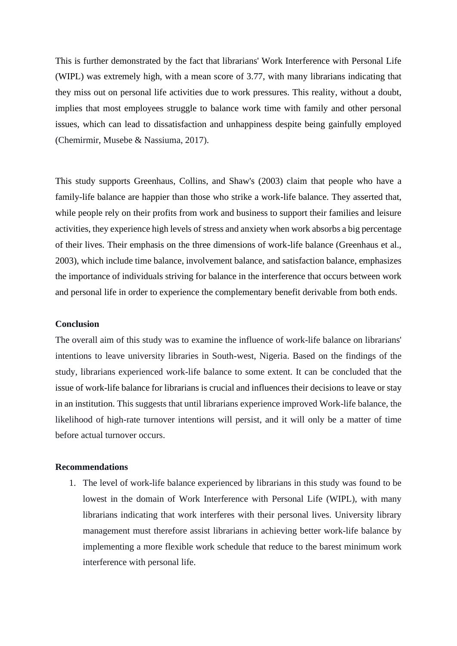This is further demonstrated by the fact that librarians' Work Interference with Personal Life (WIPL) was extremely high, with a mean score of 3.77, with many librarians indicating that they miss out on personal life activities due to work pressures. This reality, without a doubt, implies that most employees struggle to balance work time with family and other personal issues, which can lead to dissatisfaction and unhappiness despite being gainfully employed (Chemirmir, Musebe & Nassiuma, 2017).

This study supports Greenhaus, Collins, and Shaw's (2003) claim that people who have a family-life balance are happier than those who strike a work-life balance. They asserted that, while people rely on their profits from work and business to support their families and leisure activities, they experience high levels of stress and anxiety when work absorbs a big percentage of their lives. Their emphasis on the three dimensions of work-life balance (Greenhaus et al., 2003), which include time balance, involvement balance, and satisfaction balance, emphasizes the importance of individuals striving for balance in the interference that occurs between work and personal life in order to experience the complementary benefit derivable from both ends.

## **Conclusion**

The overall aim of this study was to examine the influence of work-life balance on librarians' intentions to leave university libraries in South-west, Nigeria. Based on the findings of the study, librarians experienced work-life balance to some extent. It can be concluded that the issue of work-life balance for librarians is crucial and influences their decisions to leave or stay in an institution. This suggests that until librarians experience improved Work-life balance, the likelihood of high-rate turnover intentions will persist, and it will only be a matter of time before actual turnover occurs.

### **Recommendations**

1. The level of work-life balance experienced by librarians in this study was found to be lowest in the domain of Work Interference with Personal Life (WIPL), with many librarians indicating that work interferes with their personal lives. University library management must therefore assist librarians in achieving better work-life balance by implementing a more flexible work schedule that reduce to the barest minimum work interference with personal life.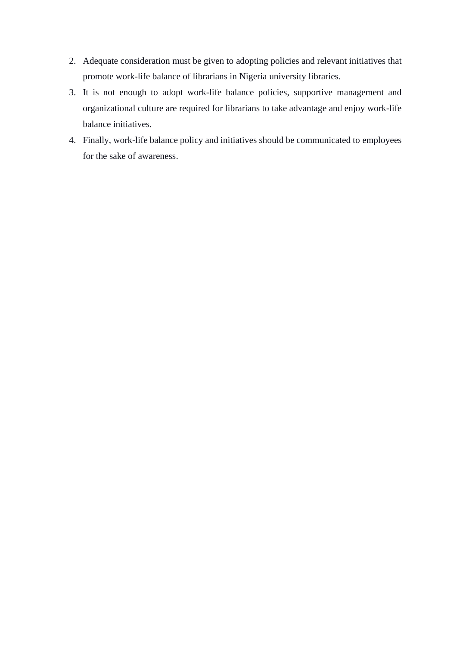- 2. Adequate consideration must be given to adopting policies and relevant initiatives that promote work-life balance of librarians in Nigeria university libraries.
- 3. It is not enough to adopt work-life balance policies, supportive management and organizational culture are required for librarians to take advantage and enjoy work-life balance initiatives.
- 4. Finally, work-life balance policy and initiatives should be communicated to employees for the sake of awareness.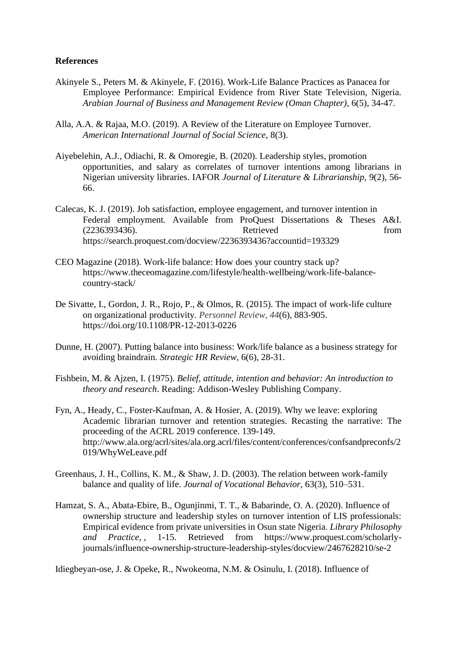## **References**

- Akinyele S., Peters M. & Akinyele, F. (2016). Work-Life Balance Practices as Panacea for Employee Performance: Empirical Evidence from River State Television, Nigeria. *Arabian Journal of Business and Management Review (Oman Chapter)*, 6(5), 34-47.
- Alla, A.A. & Rajaa, M.O. (2019). A Review of the Literature on Employee Turnover. *American International Journal of Social Science,* 8(3).
- Aiyebelehin, A.J., Odiachi, R. & Omoregie, B. (2020). Leadership styles, promotion opportunities, and salary as correlates of turnover intentions among librarians in Nigerian university libraries. IAFOR *Journal of Literature & Librarianship,* 9(2), 56- 66.
- Calecas, K. J. (2019). Job satisfaction, employee engagement, and turnover intention in Federal employment*.* Available from ProQuest Dissertations & Theses A&I. (2236393436). Retrieved from <https://search.proquest.com/docview/2236393436?accountid=193329>
- CEO Magazine (2018). Work-life balance: How does your country stack up? [https://www.theceomagazine.com/lifestyle/health-wellbeing/work-life-balance](https://www.theceomagazine.com/lifestyle/health-wellbeing/work-life-balance-country-stack/)[country-stack/](https://www.theceomagazine.com/lifestyle/health-wellbeing/work-life-balance-country-stack/)
- De Sivatte, I., Gordon, J. R., Rojo, P., & Olmos, R. (2015). The impact of work-life culture on organizational productivity. *Personnel Review, 44*(6), 883-905. <https://doi.org/10.1108/PR-12-2013-0226>
- Dunne, H. (2007). Putting balance into business: Work/life balance as a business strategy for avoiding braindrain. *Strategic HR Review*, 6(6), 28-31.
- Fishbein, M. & Ajzen, I. (1975). *Belief, attitude, intention and behavior: An introduction to theory and research*. Reading: Addison-Wesley Publishing Company.
- Fyn, A., Heady, C., Foster-Kaufman, A. & Hosier, A. (2019). Why we leave: exploring Academic librarian turnover and retention strategies. Recasting the narrative: The proceeding of the ACRL 2019 conference. 139-149. [http://www.ala.org/acrl/sites/ala.org.acrl/files/content/conferences/confsandpreconfs/2](http://www.ala.org/acrl/sites/ala.org.acrl/files/content/conferences/confsandpreconfs/2019/WhyWeLeave.pdf) [019/WhyWeLeave.pdf](http://www.ala.org/acrl/sites/ala.org.acrl/files/content/conferences/confsandpreconfs/2019/WhyWeLeave.pdf)
- Greenhaus, J. H., Collins, K. M., & Shaw, J. D. (2003). The relation between work-family balance and quality of life. *Journal of Vocational Behavior,* 63(3), 510–531.
- Hamzat, S. A., Abata-Ebire, B., Ogunjinmi, T. T., & Babarinde, O. A. (2020). Influence of ownership structure and leadership styles on turnover intention of LIS professionals: Empirical evidence from private universities in Osun state Nigeria. *Library Philosophy and Practice,* , 1-15. Retrieved from [https://www.proquest.com/scholarly](https://www.proquest.com/scholarly-journals/influence-ownership-structure-leadership-styles/docview/2467628210/se-2)[journals/influence-ownership-structure-leadership-styles/docview/2467628210/se-2](https://www.proquest.com/scholarly-journals/influence-ownership-structure-leadership-styles/docview/2467628210/se-2)

Idiegbeyan-ose, J. & Opeke, R., Nwokeoma, N.M. & Osinulu, I. (2018). Influence of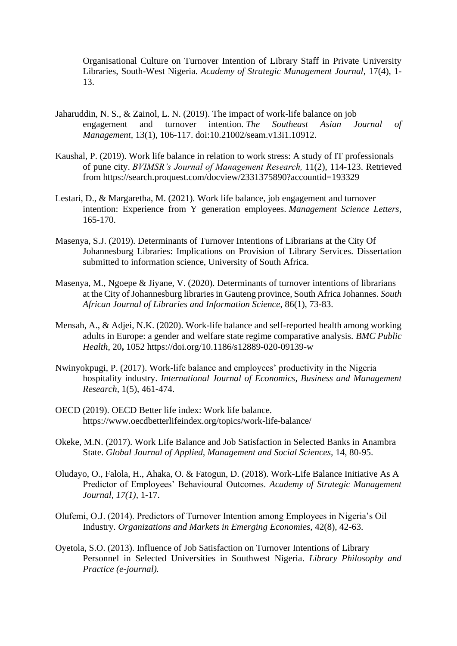Organisational Culture on Turnover Intention of Library Staff in Private University Libraries, South-West Nigeria. *Academy of Strategic Management Journal,* 17(4), 1- 13.

- Jaharuddin, N. S., & Zainol, L. N. (2019). The impact of work-life balance on job engagement and turnover intention. *The Southeast Asian Journal of Management,* 13(1), 106-117. doi:10.21002/seam.v13i1.10912.
- Kaushal, P. (2019). Work life balance in relation to work stress: A study of IT professionals of pune city. *BVIMSR's Journal of Management Research,* 11(2), 114-123. Retrieved from<https://search.proquest.com/docview/2331375890?accountid=193329>
- Lestari, D., & Margaretha, M. (2021). Work life balance, job engagement and turnover intention: Experience from Y generation employees. *Management Science Letters*, 165-170.
- Masenya, S.J. (2019). Determinants of Turnover Intentions of Librarians at the City Of Johannesburg Libraries: Implications on Provision of Library Services. Dissertation submitted to information science, University of South Africa.
- Masenya, M., Ngoepe & Jiyane, V. (2020). Determinants of turnover intentions of librarians at the City of Johannesburg libraries in Gauteng province, South Africa Johannes. *South African Journal of Libraries and Information Science*, 86(1), 73-83.
- Mensah, A., & Adjei, N.K. (2020). Work-life balance and self-reported health among working adults in Europe: a gender and welfare state regime comparative analysis. *BMC Public Health*, 20**,** 1052 [https://doi.org/10.1186/s12889-020-09139-w](https://doi.org/10.1186/s12889-020-09139-)
- Nwinyokpugi, P. (2017). Work-life balance and employees' productivity in the Nigeria hospitality industry. *International Journal of Economics, Business and Management Research,* 1(5), 461-474.
- OECD (2019). OECD Better life index: Work life balance. https://www.oecdbetterlifeindex.org/topics/work-life-balance/
- Okeke, M.N. (2017). Work Life Balance and Job Satisfaction in Selected Banks in Anambra State. *Global Journal of Applied, Management and Social Sciences,* 14*,* 80-95.
- Oludayo, O., Falola, H., Ahaka, O. & Fatogun, D. (2018). Work-Life Balance Initiative As A Predictor of Employees' Behavioural Outcomes. *Academy of Strategic Management Journal, 17(1),* 1-17.
- Olufemi, O.J. (2014). Predictors of Turnover Intention among Employees in Nigeria's Oil Industry. *Organizations and Markets in Emerging Economies,* 42(8), 42-63.
- Oyetola, S.O. (2013). Influence of Job Satisfaction on Turnover Intentions of Library Personnel in Selected Universities in Southwest Nigeria. *Library Philosophy and Practice (e-journal).*